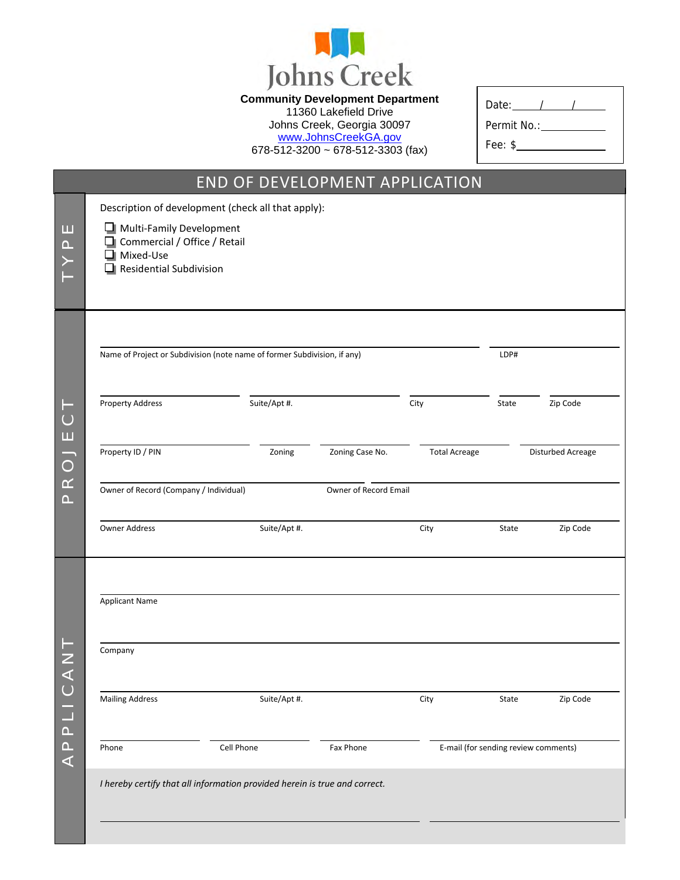

**Community Development Department** 

11360 Lakefield Drive Johns Creek, Georgia 30097 [www.JohnsCreekGA.gov](http://www.johnscreekga.gov/)

678-512-3200 ~ 678-512-3303 (fax)

| Date:       |  |  |
|-------------|--|--|
| Permit No.: |  |  |
| Fee: \$     |  |  |

Г

|                                                     |                                                                                                                | END OF DEVELOPMENT APPLICATION                                             |                       |                      |                                      |                   |
|-----------------------------------------------------|----------------------------------------------------------------------------------------------------------------|----------------------------------------------------------------------------|-----------------------|----------------------|--------------------------------------|-------------------|
|                                                     |                                                                                                                | Description of development (check all that apply):                         |                       |                      |                                      |                   |
| ш<br>$\triangle$                                    | Multi-Family Development<br>Commercial / Office / Retail<br>$\Box$ Mixed-Use<br>$\Box$ Residential Subdivision |                                                                            |                       |                      |                                      |                   |
|                                                     |                                                                                                                | Name of Project or Subdivision (note name of former Subdivision, if any)   |                       |                      | LDP#                                 |                   |
| $\vdash$<br>$\circlearrowright$<br>$\sqcup\!\sqcup$ | <b>Property Address</b>                                                                                        | Suite/Apt #.                                                               |                       | City                 | State                                | Zip Code          |
| $\overline{\phantom{a}}$<br>$\bigcirc$              | Property ID / PIN                                                                                              | Zoning                                                                     | Zoning Case No.       | <b>Total Acreage</b> |                                      | Disturbed Acreage |
| $\simeq$<br>$\Delta$ .                              | Owner of Record (Company / Individual)                                                                         |                                                                            | Owner of Record Email |                      |                                      |                   |
|                                                     | <b>Owner Address</b>                                                                                           | Suite/Apt #.                                                               |                       | City                 | State                                | Zip Code          |
|                                                     | <b>Applicant Name</b>                                                                                          |                                                                            |                       |                      |                                      |                   |
| ╱<br>$\prec$                                        | Company                                                                                                        |                                                                            |                       |                      |                                      |                   |
| $\cup$<br>$\mathcal{L}_{\mathcal{A}}$               | <b>Mailing Address</b>                                                                                         | Suite/Apt #.                                                               |                       | City                 | State                                | Zip Code          |
| $\Box$<br>$\Box$<br>$\prec$                         | Phone                                                                                                          | Cell Phone                                                                 | Fax Phone             |                      | E-mail (for sending review comments) |                   |
|                                                     |                                                                                                                | I hereby certify that all information provided herein is true and correct. |                       |                      |                                      |                   |
|                                                     |                                                                                                                |                                                                            |                       |                      |                                      |                   |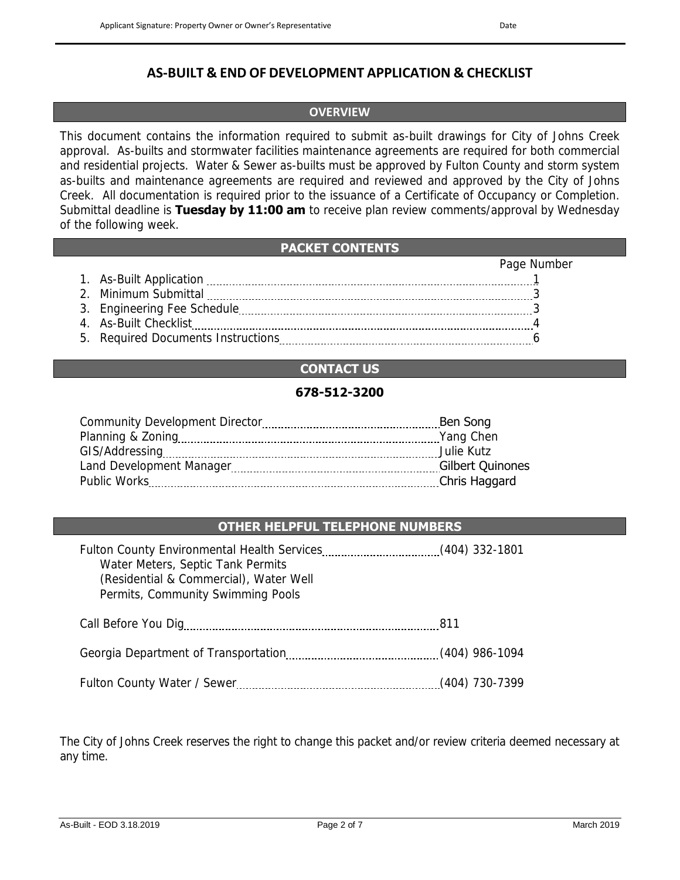# **OVERVIEW**

This document contains the information required to submit as-built drawings for City of Johns Creek approval. As-builts and stormwater facilities maintenance agreements are required for both commercial and residential projects. Water & Sewer as-builts must be approved by Fulton County and storm system as-builts and maintenance agreements are required and reviewed and approved by the City of Johns Creek. All documentation is required prior to the issuance of a Certificate of Occupancy or Completion. Submittal deadline is **Tuesday by 11:00 am** to receive plan review comments/approval by Wednesday of the following week.

## **PACKET CONTENTS**

|                                    | Page Number |
|------------------------------------|-------------|
| 1. As-Built Application            |             |
| 2. Minimum Submittal               |             |
|                                    |             |
| 4. As-Built Checklist              |             |
| 5. Required Documents Instructions |             |

# **CONTACT US**

# **678-512-3200**

|                          | Ben Song                |
|--------------------------|-------------------------|
|                          | Yang Chen               |
|                          | Julie Kutz              |
| Land Development Manager | <b>Gilbert Quinones</b> |
| Public Works             | Chris Haggard           |

# **OTHER HELPFUL TELEPHONE NUMBERS**

| Water Meters, Septic Tank Permits<br>(Residential & Commercial), Water Well<br>Permits, Community Swimming Pools |                |
|------------------------------------------------------------------------------------------------------------------|----------------|
|                                                                                                                  |                |
|                                                                                                                  |                |
|                                                                                                                  | (404) 730-7399 |

The City of Johns Creek reserves the right to change this packet and/or review criteria deemed necessary at any time.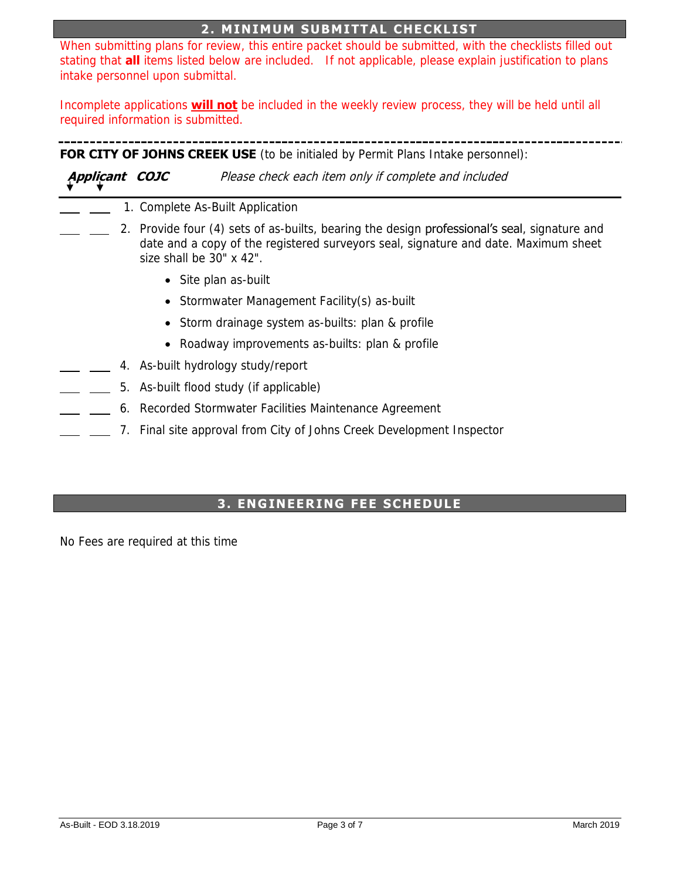# **2. MINIMUM SUBMITTAL CHECKLIST**

When submitting plans for review, this entire packet should be submitted, with the checklists filled out stating that **all** items listed below are included. If not applicable, please explain justification to plans intake personnel upon submittal.

Incomplete applications **will not** be included in the weekly review process, they will be held until all required information is submitted.

**FOR CITY OF JOHNS CREEK USE** (to be initialed by Permit Plans Intake personnel):

**Applicant COJC** Please check each item only if complete and included

- 1. Complete As-Built Application
- 2. Provide four (4) sets of as-builts, bearing the design **professional's seal**, signature and date and a copy of the registered surveyors seal, signature and date. Maximum sheet size shall be 30" x 42".
	- Site plan as-built
	- Stormwater Management Facility(s) as-built
	- Storm drainage system as-builts: plan & profile
	- Roadway improvements as-builts: plan & profile
- 4. As-built hydrology study/report
- 5. As-built flood study (if applicable)
	- 6. Recorded Stormwater Facilities Maintenance Agreement
		- 7. Final site approval from City of Johns Creek Development Inspector

### **3. ENGINEERING FEE SCHEDULE**

No Fees are required at this time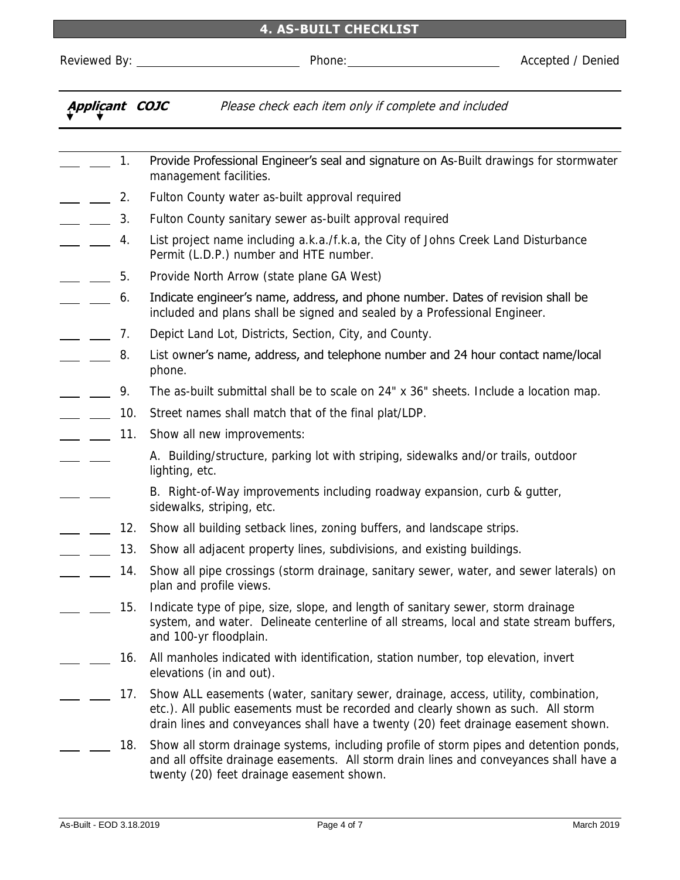#### **4. AS-BUILT CHECKLIST**

Reviewed By: Phone: Accepted / Denied **Applicant COJC** Please check each item only if complete and included 1. Provide Professional Engineer's seal and signature on As-Built drawings for stormwater management facilities. 2. Fulton County water as-built approval required 3. Fulton County sanitary sewer as-built approval required 4. List project name including a.k.a./f.k.a, the City of Johns Creek Land Disturbance Permit (L.D.P.) number and HTE number. 5. Provide North Arrow (state plane GA West) 6. Indicate engineer's name, address, and phone number. Dates of revision shall be  $\overline{\phantom{a}}$ included and plans shall be signed and sealed by a Professional Engineer. 7. Depict Land Lot, Districts, Section, City, and County. 8. List owner's name, address, and telephone number and 24 hour contact name/local phone. 9. The as-built submittal shall be to scale on 24" x 36" sheets. Include a location map.  $\overline{\phantom{a}}$ -  $\frac{1}{100}$  Street names shall match that of the final plat/LDP. 11. Show all new improvements: A. Building/structure, parking lot with striping, sidewalks and/or trails, outdoor lighting, etc. B. Right-of-Way improvements including roadway expansion, curb & gutter, sidewalks, striping, etc. 12. Show all building setback lines, zoning buffers, and landscape strips. 13. Show all adjacent property lines, subdivisions, and existing buildings.  $\overline{a}$ 14. Show all pipe crossings (storm drainage, sanitary sewer, water, and sewer laterals) on plan and profile views. 15. Indicate type of pipe, size, slope, and length of sanitary sewer, storm drainage system, and water. Delineate centerline of all streams, local and state stream buffers, and 100-yr floodplain. 16. All manholes indicated with identification, station number, top elevation, invert elevations (in and out). 17. Show ALL easements (water, sanitary sewer, drainage, access, utility, combination,

18. Show all storm drainage systems, including profile of storm pipes and detention ponds, and all offsite drainage easements. All storm drain lines and conveyances shall have a twenty (20) feet drainage easement shown.

etc.). All public easements must be recorded and clearly shown as such. All storm drain lines and conveyances shall have a twenty (20) feet drainage easement shown.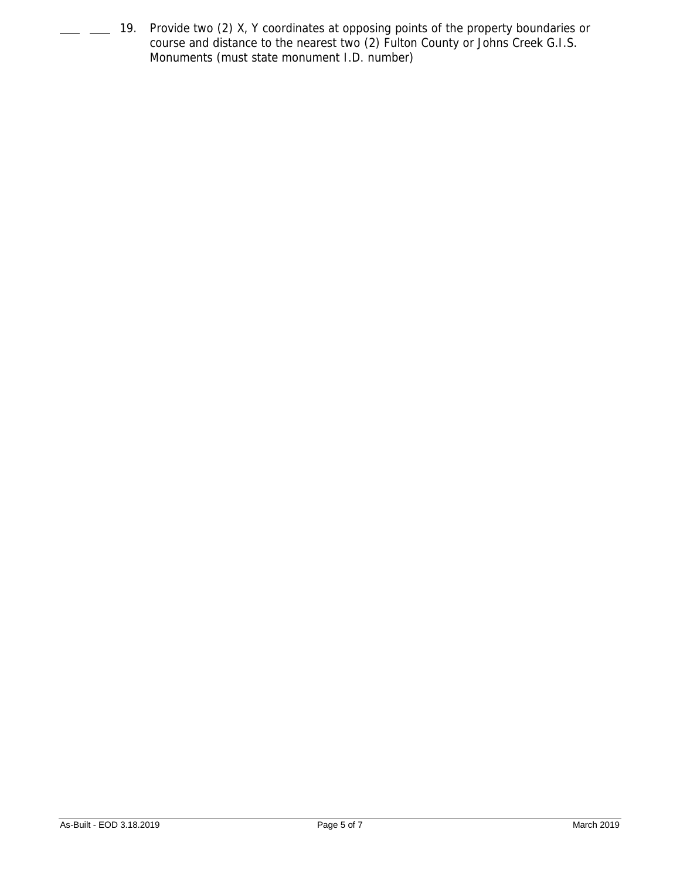19. Provide two (2) X, Y coordinates at opposing points of the property boundaries or course and distance to the nearest two (2) Fulton County or Johns Creek G.I.S. Monuments (must state monument I.D. number)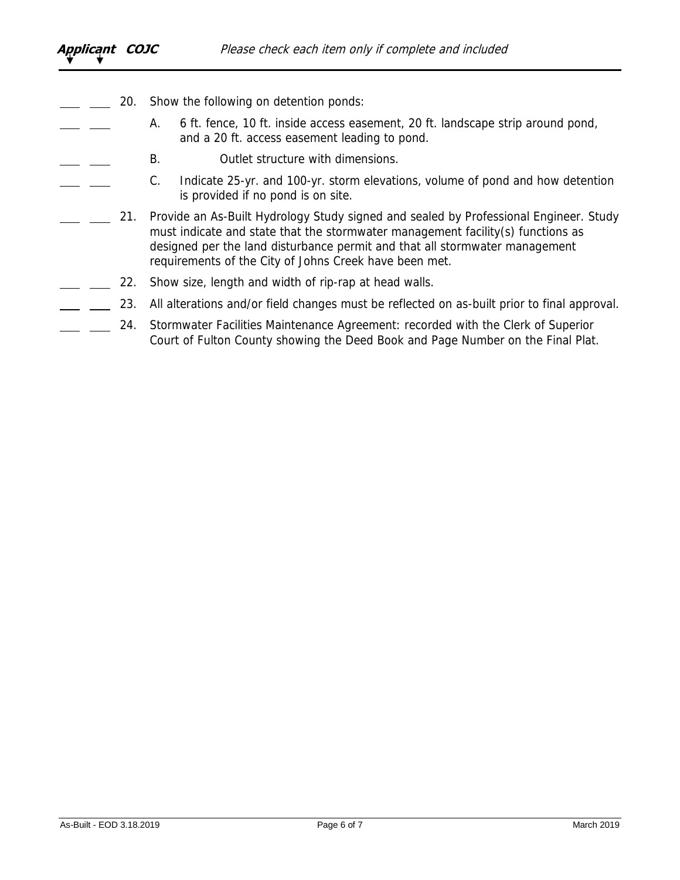- 20. Show the following on detention ponds:
	- A. 6 ft. fence, 10 ft. inside access easement, 20 ft. landscape strip around pond, and a 20 ft. access easement leading to pond.
	- B. Outlet structure with dimensions.
- C. Indicate 25-yr. and 100-yr. storm elevations, volume of pond and how detention  $\overline{a}$ is provided if no pond is on site.
- 21. Provide an As-Built Hydrology Study signed and sealed by Professional Engineer. Study must indicate and state that the stormwater management facility(s) functions as designed per the land disturbance permit and that all stormwater management requirements of the City of Johns Creek have been met.
- 22. Show size, length and width of rip-rap at head walls.
	- 23. All alterations and/or field changes must be reflected on as-built prior to final approval.
	- 24. Stormwater Facilities Maintenance Agreement: recorded with the Clerk of Superior Court of Fulton County showing the Deed Book and Page Number on the Final Plat.